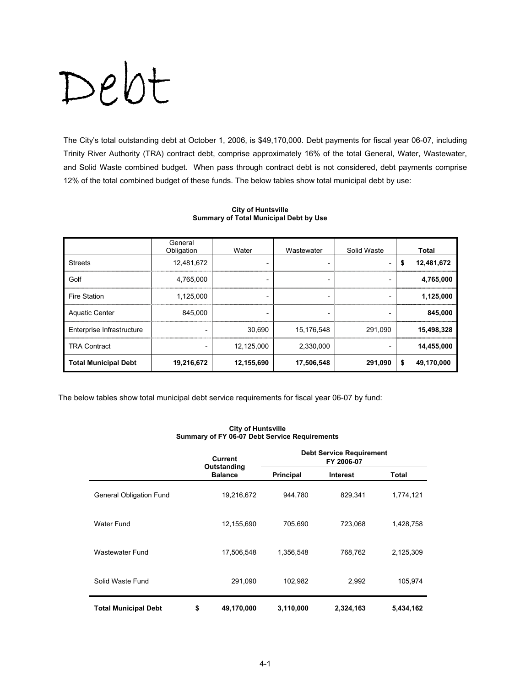# Debt

The City's total outstanding debt at October 1, 2006, is \$49,170,000. Debt payments for fiscal year 06-07, including Trinity River Authority (TRA) contract debt, comprise approximately 16% of the total General, Water, Wastewater, and Solid Waste combined budget. When pass through contract debt is not considered, debt payments comprise 12% of the total combined budget of these funds. The below tables show total municipal debt by use:

|                             | General<br>Obligation | Water                    | Wastewater               | Solid Waste     | Total            |
|-----------------------------|-----------------------|--------------------------|--------------------------|-----------------|------------------|
| <b>Streets</b>              | 12.481.672            | $\overline{\phantom{0}}$ | $\overline{\phantom{a}}$ | -               | \$<br>12,481,672 |
| Golf                        | 4,765,000             | $\overline{\phantom{a}}$ | $\overline{\phantom{0}}$ |                 | 4,765,000        |
| Fire Station                | 1,125,000             | $\overline{\phantom{0}}$ | $\overline{\phantom{0}}$ | $\qquad \qquad$ | 1,125,000        |
| <b>Aquatic Center</b>       | 845.000               |                          | $\overline{\phantom{a}}$ |                 | 845,000          |
| Enterprise Infrastructure   |                       | 30.690                   | 15,176,548               | 291.090         | 15,498,328       |
| <b>TRA Contract</b>         |                       | 12,125,000               | 2.330.000                |                 | 14,455,000       |
| <b>Total Municipal Debt</b> | 19,216,672            | 12,155,690               | 17,506,548               | 291,090         | \$<br>49,170,000 |

#### **City of Huntsville Summary of Total Municipal Debt by Use**

The below tables show total municipal debt service requirements for fiscal year 06-07 by fund:

|                             | <b>Current</b>                | <b>Debt Service Requirement</b><br>FY 2006-07 |                 |           |  |
|-----------------------------|-------------------------------|-----------------------------------------------|-----------------|-----------|--|
|                             | Outstanding<br><b>Balance</b> | Principal                                     | <b>Interest</b> | Total     |  |
| General Obligation Fund     | 19,216,672                    | 944,780                                       | 829,341         | 1,774,121 |  |
| Water Fund                  | 12,155,690                    | 705,690                                       | 723,068         | 1,428,758 |  |
| Wastewater Fund             | 17,506,548                    | 1,356,548                                     | 768,762         | 2,125,309 |  |
| Solid Waste Fund            | 291,090                       | 102,982                                       | 2,992           | 105,974   |  |
| <b>Total Municipal Debt</b> | \$<br>49,170,000              | 3,110,000                                     | 2,324,163       | 5,434,162 |  |

#### **City of Huntsville Summary of FY 06-07 Debt Service Requirements**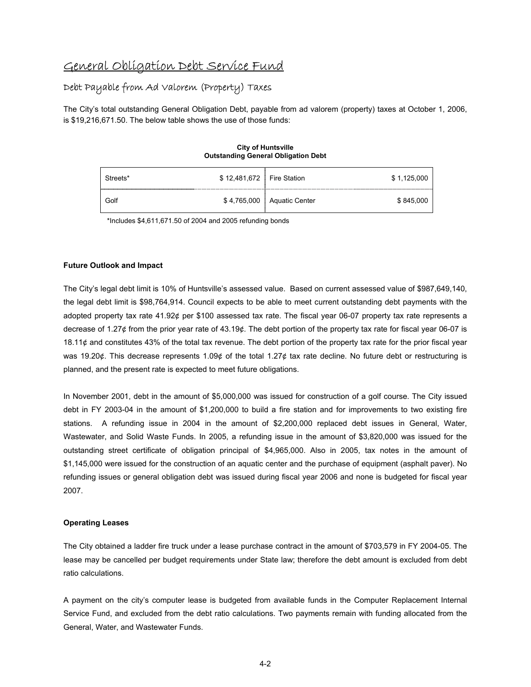## General Obligation Debt Service Fund

#### Debt Payable from Ad Valorem (Property) Taxes

The City's total outstanding General Obligation Debt, payable from ad valorem (property) taxes at October 1, 2006, is \$19,216,671.50. The below table shows the use of those funds:

#### **City of Huntsville Outstanding General Obligation Debt**

| Streets* | \$12,481,672   Fire Station |                              | \$1,125,000 |
|----------|-----------------------------|------------------------------|-------------|
| Golf     |                             | \$4,765,000   Aquatic Center | \$845,000   |

\*Includes \$4,611,671.50 of 2004 and 2005 refunding bonds

#### **Future Outlook and Impact**

The City's legal debt limit is 10% of Huntsville's assessed value. Based on current assessed value of \$987,649,140, the legal debt limit is \$98,764,914. Council expects to be able to meet current outstanding debt payments with the adopted property tax rate 41.92¢ per \$100 assessed tax rate. The fiscal year 06-07 property tax rate represents a decrease of 1.27¢ from the prior year rate of 43.19¢. The debt portion of the property tax rate for fiscal year 06-07 is 18.11 $\phi$  and constitutes 43% of the total tax revenue. The debt portion of the property tax rate for the prior fiscal year was 19.20¢. This decrease represents 1.09¢ of the total 1.27¢ tax rate decline. No future debt or restructuring is planned, and the present rate is expected to meet future obligations.

In November 2001, debt in the amount of \$5,000,000 was issued for construction of a golf course. The City issued debt in FY 2003-04 in the amount of \$1,200,000 to build a fire station and for improvements to two existing fire stations. A refunding issue in 2004 in the amount of \$2,200,000 replaced debt issues in General, Water, Wastewater, and Solid Waste Funds. In 2005, a refunding issue in the amount of \$3,820,000 was issued for the outstanding street certificate of obligation principal of \$4,965,000. Also in 2005, tax notes in the amount of \$1,145,000 were issued for the construction of an aquatic center and the purchase of equipment (asphalt paver). No refunding issues or general obligation debt was issued during fiscal year 2006 and none is budgeted for fiscal year 2007.

#### **Operating Leases**

The City obtained a ladder fire truck under a lease purchase contract in the amount of \$703,579 in FY 2004-05. The lease may be cancelled per budget requirements under State law; therefore the debt amount is excluded from debt ratio calculations.

A payment on the city's computer lease is budgeted from available funds in the Computer Replacement Internal Service Fund, and excluded from the debt ratio calculations. Two payments remain with funding allocated from the General, Water, and Wastewater Funds.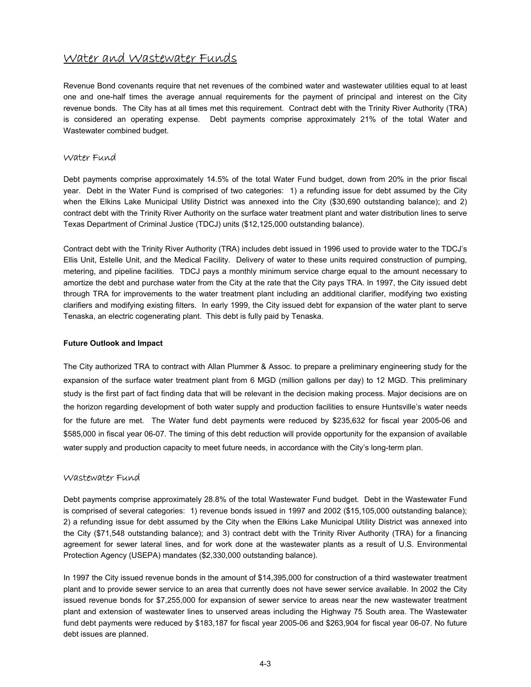### Water and Wastewater Funds

Revenue Bond covenants require that net revenues of the combined water and wastewater utilities equal to at least one and one-half times the average annual requirements for the payment of principal and interest on the City revenue bonds. The City has at all times met this requirement. Contract debt with the Trinity River Authority (TRA) is considered an operating expense. Debt payments comprise approximately 21% of the total Water and Wastewater combined budget.

#### Water Fund

Debt payments comprise approximately 14.5% of the total Water Fund budget, down from 20% in the prior fiscal year. Debt in the Water Fund is comprised of two categories: 1) a refunding issue for debt assumed by the City when the Elkins Lake Municipal Utility District was annexed into the City (\$30,690 outstanding balance); and 2) contract debt with the Trinity River Authority on the surface water treatment plant and water distribution lines to serve Texas Department of Criminal Justice (TDCJ) units (\$12,125,000 outstanding balance).

Contract debt with the Trinity River Authority (TRA) includes debt issued in 1996 used to provide water to the TDCJ's Ellis Unit, Estelle Unit, and the Medical Facility. Delivery of water to these units required construction of pumping, metering, and pipeline facilities. TDCJ pays a monthly minimum service charge equal to the amount necessary to amortize the debt and purchase water from the City at the rate that the City pays TRA. In 1997, the City issued debt through TRA for improvements to the water treatment plant including an additional clarifier, modifying two existing clarifiers and modifying existing filters. In early 1999, the City issued debt for expansion of the water plant to serve Tenaska, an electric cogenerating plant. This debt is fully paid by Tenaska.

#### **Future Outlook and Impact**

The City authorized TRA to contract with Allan Plummer & Assoc. to prepare a preliminary engineering study for the expansion of the surface water treatment plant from 6 MGD (million gallons per day) to 12 MGD. This preliminary study is the first part of fact finding data that will be relevant in the decision making process. Major decisions are on the horizon regarding development of both water supply and production facilities to ensure Huntsville's water needs for the future are met. The Water fund debt payments were reduced by \$235,632 for fiscal year 2005-06 and \$585,000 in fiscal year 06-07. The timing of this debt reduction will provide opportunity for the expansion of available water supply and production capacity to meet future needs, in accordance with the City's long-term plan.

#### Wastewater Fund

Debt payments comprise approximately 28.8% of the total Wastewater Fund budget. Debt in the Wastewater Fund is comprised of several categories: 1) revenue bonds issued in 1997 and 2002 (\$15,105,000 outstanding balance); 2) a refunding issue for debt assumed by the City when the Elkins Lake Municipal Utility District was annexed into the City (\$71,548 outstanding balance); and 3) contract debt with the Trinity River Authority (TRA) for a financing agreement for sewer lateral lines, and for work done at the wastewater plants as a result of U.S. Environmental Protection Agency (USEPA) mandates (\$2,330,000 outstanding balance).

In 1997 the City issued revenue bonds in the amount of \$14,395,000 for construction of a third wastewater treatment plant and to provide sewer service to an area that currently does not have sewer service available. In 2002 the City issued revenue bonds for \$7,255,000 for expansion of sewer service to areas near the new wastewater treatment plant and extension of wastewater lines to unserved areas including the Highway 75 South area. The Wastewater fund debt payments were reduced by \$183,187 for fiscal year 2005-06 and \$263,904 for fiscal year 06-07. No future debt issues are planned.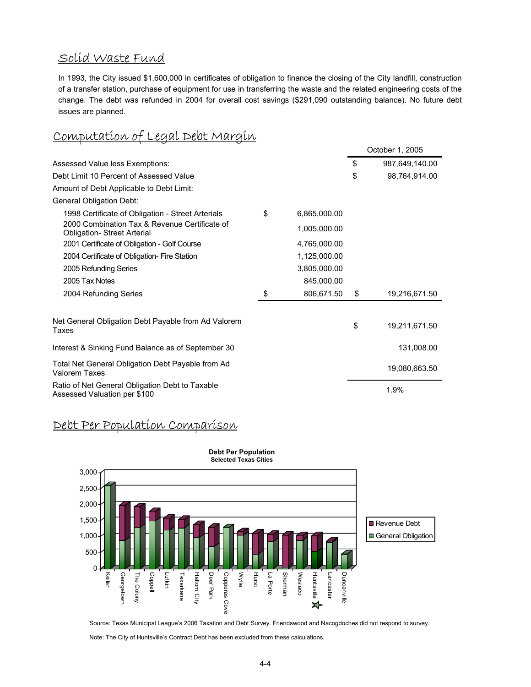# Solid Waste Fund

In 1993, the City issued \$1,600,000 in certificates of obligation to finance the closing of the City landfill, construction of a transfer station, purchase of equipment for use in transferring the waste and the related engineering costs of the change. The debt was refunded in 2004 for overall cost savings (\$291,090 outstanding balance). No future debt issues are planned.

# Computation of Legal Debt Margin

|                                                                                    |                    | October 1, 2005      |
|------------------------------------------------------------------------------------|--------------------|----------------------|
| Assessed Value less Exemptions:                                                    |                    | \$<br>987,649,140.00 |
| Debt Limit 10 Percent of Assessed Value                                            |                    | \$<br>98,764,914.00  |
| Amount of Debt Applicable to Debt Limit:                                           |                    |                      |
| General Obligation Debt:                                                           |                    |                      |
| 1998 Certificate of Obligation - Street Arterials                                  | \$<br>6,865,000.00 |                      |
| 2000 Combination Tax & Revenue Certificate of<br><b>Obligation-Street Arterial</b> | 1,005,000.00       |                      |
| 2001 Certificate of Obligation - Golf Course                                       | 4,765,000.00       |                      |
| 2004 Certificate of Obligation- Fire Station                                       | 1,125,000.00       |                      |
| 2005 Refunding Series                                                              | 3,805,000.00       |                      |
| 2005 Tax Notes                                                                     | 845,000.00         |                      |
| 2004 Refunding Series                                                              | \$<br>806,671.50   | \$<br>19,216,671.50  |
| Net General Obligation Debt Payable from Ad Valorem<br>Taxes                       |                    | \$<br>19,211,671.50  |
| Interest & Sinking Fund Balance as of September 30                                 |                    | 131,008.00           |
| Total Net General Obligation Debt Payable from Ad<br>Valorem Taxes                 |                    | 19,080,663.50        |
| Ratio of Net General Obligation Debt to Taxable<br>Assessed Valuation per \$100    |                    | 1.9%                 |

# Debt Per Population Comparison



#### Source: Texas Municipal League's 2006 Taxation and Debt Survey. Friendswood and Nacogdoches did not respond to survey.

Note: The City of Huntsville's Contract Debt has been excluded from these calculations.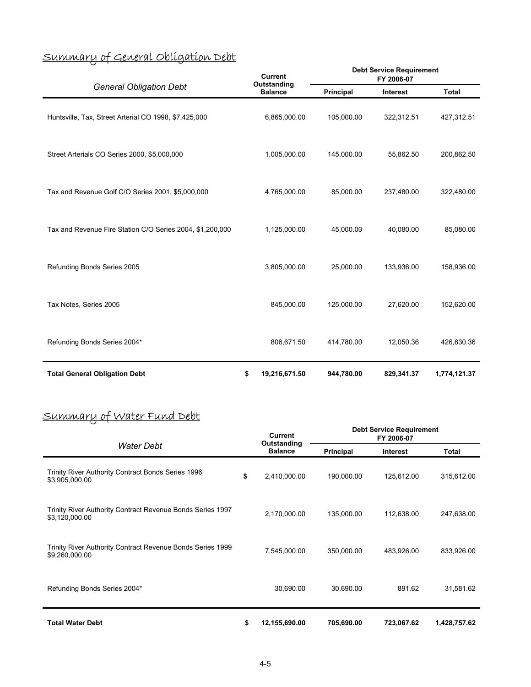|  | <u>Summary of General Obligation Debt</u>                                                                                                                                                                                                                                                         |  |
|--|---------------------------------------------------------------------------------------------------------------------------------------------------------------------------------------------------------------------------------------------------------------------------------------------------|--|
|  | $\epsilon$ , $\tau$ , $\tau$ , $\tau$ , $\tau$ , $\tau$ , $\tau$ , $\tau$ , $\tau$ , $\tau$ , $\tau$ , $\tau$ , $\tau$ , $\tau$ , $\tau$ , $\tau$ , $\tau$ , $\tau$ , $\tau$ , $\tau$ , $\tau$ , $\tau$ , $\tau$ , $\tau$ , $\tau$ , $\tau$ , $\tau$ , $\tau$ , $\tau$ , $\tau$ , $\tau$ , $\tau$ |  |

| ◡<br><b>General Obligation Debt</b>                       |    | <b>Current</b><br>Outstanding | <b>Debt Service Requirement</b><br>FY 2006-07 |                 |              |  |
|-----------------------------------------------------------|----|-------------------------------|-----------------------------------------------|-----------------|--------------|--|
|                                                           |    | <b>Balance</b>                | Principal                                     | <b>Interest</b> | <b>Total</b> |  |
| Huntsville, Tax, Street Arterial CO 1998, \$7,425,000     |    | 6,865,000.00                  | 105,000.00                                    | 322,312.51      | 427,312.51   |  |
| Street Arterials CO Series 2000, \$5,000,000              |    | 1,005,000.00                  | 145,000.00                                    | 55,862.50       | 200,862.50   |  |
| Tax and Revenue Golf C/O Series 2001, \$5,000,000         |    | 4,765,000.00                  | 85,000.00                                     | 237,480.00      | 322,480.00   |  |
| Tax and Revenue Fire Station C/O Series 2004, \$1,200,000 |    | 1,125,000.00                  | 45,000.00                                     | 40,080.00       | 85,080.00    |  |
| Refunding Bonds Series 2005                               |    | 3,805,000.00                  | 25,000.00                                     | 133,936.00      | 158,936.00   |  |
| Tax Notes, Series 2005                                    |    | 845,000.00                    | 125,000.00                                    | 27,620.00       | 152,620.00   |  |
| Refunding Bonds Series 2004*                              |    | 806,671.50                    | 414,780.00                                    | 12,050.36       | 426,830.36   |  |
| <b>Total General Obligation Debt</b>                      | \$ | 19,216,671.50                 | 944,780.00                                    | 829,341.37      | 1,774,121.37 |  |

# Summary of Water Fund Debt

| Water Debt                                                                   |    | <b>Current</b>                |                  | <b>Debt Service Requirement</b><br>FY 2006-07 |              |
|------------------------------------------------------------------------------|----|-------------------------------|------------------|-----------------------------------------------|--------------|
|                                                                              |    | Outstanding<br><b>Balance</b> | <b>Principal</b> | Interest                                      | Total        |
| Trinity River Authority Contract Bonds Series 1996<br>\$3,905,000.00         | \$ | 2,410,000.00                  | 190,000.00       | 125,612.00                                    | 315,612.00   |
| Trinity River Authority Contract Revenue Bonds Series 1997<br>\$3,120,000.00 |    | 2,170,000.00                  | 135,000.00       | 112,638.00                                    | 247,638.00   |
| Trinity River Authority Contract Revenue Bonds Series 1999<br>\$9,260,000.00 |    | 7,545,000.00                  | 350,000.00       | 483,926.00                                    | 833,926.00   |
| Refunding Bonds Series 2004*                                                 |    | 30,690.00                     | 30,690.00        | 891.62                                        | 31,581.62    |
| <b>Total Water Debt</b>                                                      | \$ | 12,155,690.00                 | 705,690.00       | 723,067.62                                    | 1,428,757.62 |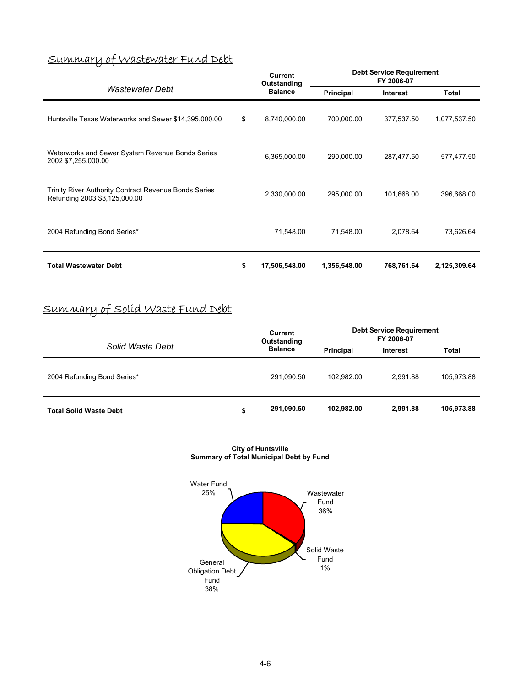# Summary of Wastewater Fund Debt

| Wastewater Debt                                                                        |    | <b>Current</b><br>Outstanding | <b>Debt Service Requirement</b><br>FY 2006-07 |            |              |  |
|----------------------------------------------------------------------------------------|----|-------------------------------|-----------------------------------------------|------------|--------------|--|
|                                                                                        |    | <b>Balance</b>                | Principal                                     | Interest   | Total        |  |
| Huntsville Texas Waterworks and Sewer \$14,395,000.00                                  | \$ | 8,740,000.00                  | 700,000.00                                    | 377,537.50 | 1,077,537.50 |  |
| Waterworks and Sewer System Revenue Bonds Series<br>2002 \$7,255,000.00                |    | 6,365,000.00                  | 290,000.00                                    | 287,477.50 | 577,477.50   |  |
| Trinity River Authority Contract Revenue Bonds Series<br>Refunding 2003 \$3,125,000.00 |    | 2,330,000.00                  | 295,000.00                                    | 101,668.00 | 396,668.00   |  |
| 2004 Refunding Bond Series*                                                            |    | 71,548.00                     | 71,548.00                                     | 2,078.64   | 73,626.64    |  |
| <b>Total Wastewater Debt</b>                                                           | \$ | 17,506,548.00                 | 1,356,548.00                                  | 768,761.64 | 2,125,309.64 |  |

# Summary of Solid Waste Fund Debt

|                               | <b>Current</b><br>Outstanding |                | <b>Debt Service Requirement</b><br>FY 2006-07 |                 |            |
|-------------------------------|-------------------------------|----------------|-----------------------------------------------|-----------------|------------|
| Solid Waste Debt              |                               | <b>Balance</b> | Principal                                     | <b>Interest</b> | Total      |
| 2004 Refunding Bond Series*   |                               | 291,090.50     | 102.982.00                                    | 2.991.88        | 105,973.88 |
| <b>Total Solid Waste Debt</b> | \$                            | 291,090.50     | 102.982.00                                    | 2.991.88        | 105,973.88 |

**City of Huntsville Summary of Total Municipal Debt by Fund** 

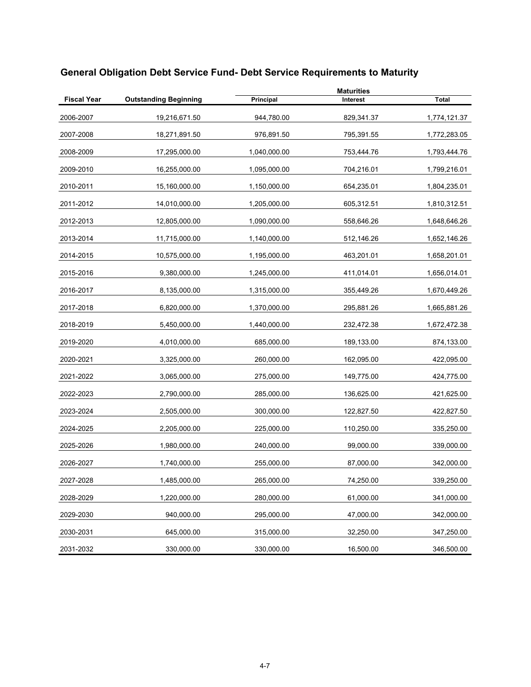|                    |                              | <b>Maturities</b> |            |              |  |  |
|--------------------|------------------------------|-------------------|------------|--------------|--|--|
| <b>Fiscal Year</b> | <b>Outstanding Beginning</b> | Principal         | Interest   | <b>Total</b> |  |  |
| 2006-2007          | 19,216,671.50                | 944,780.00        | 829,341.37 | 1,774,121.37 |  |  |
| 2007-2008          | 18,271,891.50                | 976,891.50        | 795,391.55 | 1,772,283.05 |  |  |
| 2008-2009          | 17,295,000.00                | 1,040,000.00      | 753,444.76 | 1,793,444.76 |  |  |
| 2009-2010          | 16,255,000.00                | 1,095,000.00      | 704,216.01 | 1,799,216.01 |  |  |
| 2010-2011          | 15,160,000.00                | 1,150,000.00      | 654,235.01 | 1,804,235.01 |  |  |
| 2011-2012          | 14,010,000.00                | 1,205,000.00      | 605,312.51 | 1,810,312.51 |  |  |
| 2012-2013          | 12,805,000.00                | 1,090,000.00      | 558,646.26 | 1,648,646.26 |  |  |
| 2013-2014          | 11,715,000.00                | 1,140,000.00      | 512,146.26 | 1,652,146.26 |  |  |
| 2014-2015          | 10,575,000.00                | 1,195,000.00      | 463,201.01 | 1,658,201.01 |  |  |
| 2015-2016          | 9,380,000.00                 | 1,245,000.00      | 411,014.01 | 1,656,014.01 |  |  |
| 2016-2017          | 8,135,000.00                 | 1,315,000.00      | 355,449.26 | 1,670,449.26 |  |  |
| 2017-2018          | 6,820,000.00                 | 1,370,000.00      | 295,881.26 | 1,665,881.26 |  |  |
| 2018-2019          | 5,450,000.00                 | 1,440,000.00      | 232,472.38 | 1,672,472.38 |  |  |
| 2019-2020          | 4,010,000.00                 | 685,000.00        | 189,133.00 | 874,133.00   |  |  |
| 2020-2021          | 3,325,000.00                 | 260,000.00        | 162,095.00 | 422,095.00   |  |  |
| 2021-2022          | 3,065,000.00                 | 275,000.00        | 149,775.00 | 424,775.00   |  |  |
| 2022-2023          | 2,790,000.00                 | 285,000.00        | 136,625.00 | 421,625.00   |  |  |
| 2023-2024          | 2,505,000.00                 | 300,000.00        | 122,827.50 | 422,827.50   |  |  |
| 2024-2025          | 2,205,000.00                 | 225,000.00        | 110,250.00 | 335,250.00   |  |  |
| 2025-2026          | 1,980,000.00                 | 240,000.00        | 99,000.00  | 339,000.00   |  |  |
| 2026-2027          | 1,740,000.00                 | 255,000.00        | 87,000.00  | 342,000.00   |  |  |
| 2027-2028          | 1,485,000.00                 | 265,000.00        | 74,250.00  | 339,250.00   |  |  |
| 2028-2029          | 1,220,000.00                 | 280,000.00        | 61,000.00  | 341,000.00   |  |  |
| 2029-2030          | 940,000.00                   | 295,000.00        | 47,000.00  | 342,000.00   |  |  |
| 2030-2031          | 645,000.00                   | 315,000.00        | 32,250.00  | 347,250.00   |  |  |
| 2031-2032          | 330,000.00                   | 330,000.00        | 16,500.00  | 346,500.00   |  |  |

# **General Obligation Debt Service Fund- Debt Service Requirements to Maturity**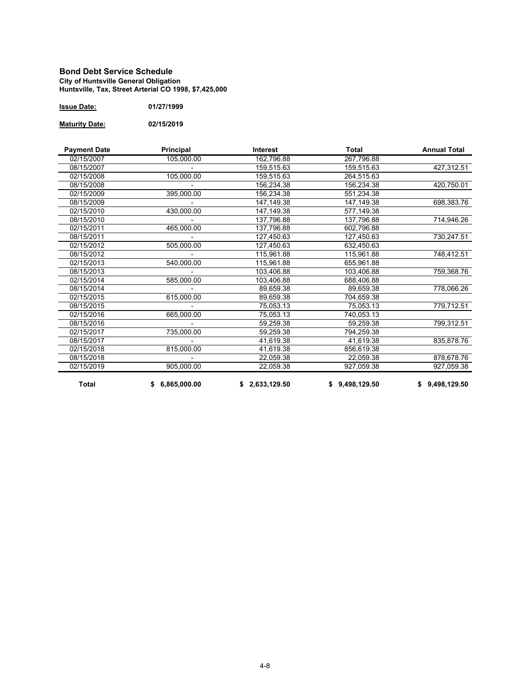#### **Bond Debt Service Schedule City of Huntsville General Obligation Huntsville, Tax, Street Arterial CO 1998, \$7,425,000**

| <b>Issue Date:</b> | 01/27/1999 |
|--------------------|------------|
|--------------------|------------|

**Maturity Date: 02/15/2019**

| <b>Payment Date</b> | Principal      | <b>Interest</b> | Total          | <b>Annual Total</b> |
|---------------------|----------------|-----------------|----------------|---------------------|
| 02/15/2007          | 105,000.00     | 162,796.88      | 267,796.88     |                     |
| 08/15/2007          |                | 159,515.63      | 159,515.63     | 427,312.51          |
| 02/15/2008          | 105,000.00     | 159,515.63      | 264,515.63     |                     |
| 08/15/2008          |                | 156,234.38      | 156,234.38     | 420,750.01          |
| 02/15/2009          | 395,000.00     | 156,234.38      | 551,234.38     |                     |
| 08/15/2009          |                | 147, 149. 38    | 147,149.38     | 698,383.76          |
| 02/15/2010          | 430,000.00     | 147.149.38      | 577,149.38     |                     |
| 08/15/2010          |                | 137.796.88      | 137.796.88     | 714,946.26          |
| 02/15/2011          | 465,000.00     | 137,796.88      | 602,796.88     |                     |
| 08/15/2011          |                | 127,450.63      | 127,450.63     | 730,247.51          |
| 02/15/2012          | 505,000.00     | 127,450.63      | 632,450.63     |                     |
| 08/15/2012          |                | 115,961.88      | 115,961.88     | 748,412.51          |
| 02/15/2013          | 540,000.00     | 115,961.88      | 655,961.88     |                     |
| 08/15/2013          |                | 103,406.88      | 103,406.88     | 759,368.76          |
| 02/15/2014          | 585,000.00     | 103,406.88      | 688,406.88     |                     |
| 08/15/2014          |                | 89,659.38       | 89,659.38      | 778,066.26          |
| 02/15/2015          | 615,000.00     | 89.659.38       | 704.659.38     |                     |
| 08/15/2015          |                | 75,053.13       | 75,053.13      | 779,712.51          |
| 02/15/2016          | 665,000.00     | 75,053.13       | 740,053.13     |                     |
| 08/15/2016          |                | 59,259.38       | 59,259.38      | 799,312.51          |
| 02/15/2017          | 735,000.00     | 59,259.38       | 794,259.38     |                     |
| 08/15/2017          |                | 41,619.38       | 41,619.38      | 835,878.76          |
| 02/15/2018          | 815,000.00     | 41,619.38       | 856,619.38     |                     |
| 08/15/2018          |                | 22,059.38       | 22,059.38      | 878,678.76          |
| 02/15/2019          | 905,000.00     | 22,059.38       | 927,059.38     | 927,059.38          |
| <b>Total</b>        | \$6,865,000.00 | \$2,633,129.50  | \$9,498,129.50 | \$9,498,129.50      |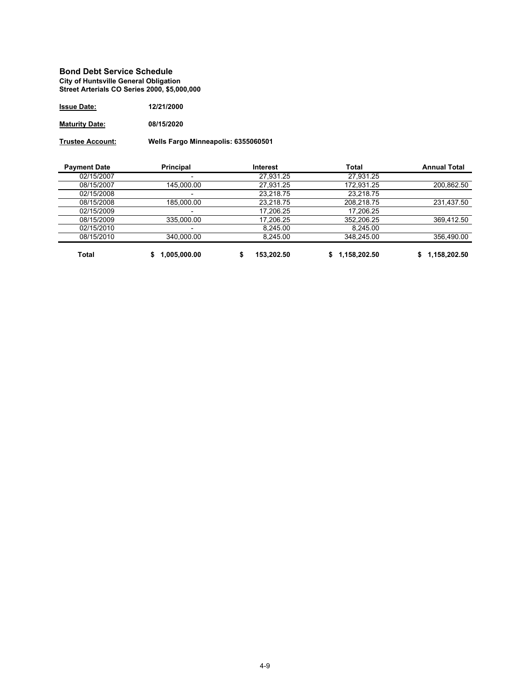#### **Bond Debt Service Schedule City of Huntsville General Obligation Street Arterials CO Series 2000, \$5,000,000**

| <b>Issue Date:</b>    | 12/21/2000 |
|-----------------------|------------|
| <b>Maturity Date:</b> | 08/15/2020 |

**Trustee Account: Wells Fargo Minneapolis: 6355060501**

| <b>Payment Date</b> | Principal                | Interest   | Total        | <b>Annual Total</b> |
|---------------------|--------------------------|------------|--------------|---------------------|
| 02/15/2007          |                          | 27.931.25  | 27.931.25    |                     |
| 08/15/2007          | 145,000.00               | 27,931.25  | 172.931.25   | 200,862.50          |
| 02/15/2008          |                          | 23.218.75  | 23.218.75    |                     |
| 08/15/2008          | 185.000.00               | 23.218.75  | 208.218.75   | 231,437.50          |
| 02/15/2009          |                          | 17.206.25  | 17.206.25    |                     |
| 08/15/2009          | 335,000.00               | 17,206.25  | 352,206.25   | 369,412.50          |
| 02/15/2010          | $\overline{\phantom{0}}$ | 8.245.00   | 8.245.00     |                     |
| 08/15/2010          | 340.000.00               | 8.245.00   | 348.245.00   | 356.490.00          |
| <b>Total</b>        | 1,005,000.00             | 153.202.50 | 1.158.202.50 | 1,158,202.50        |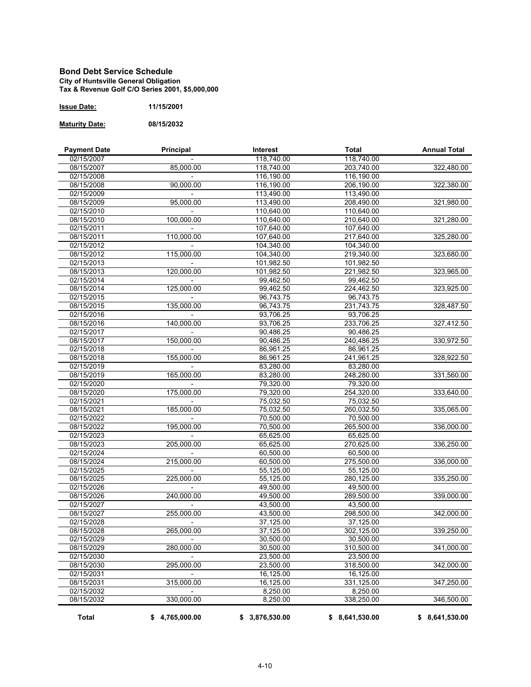#### **Bond Debt Service Schedule City of Huntsville General Obligation Tax & Revenue Golf C/O Series 2001, \$5,000,000**

| <b>Issue Date:</b> | 11/15/2001 |
|--------------------|------------|
|                    |            |

**Maturity Date: 08/15/2032**

| <b>Payment Date</b>      | Principal      | <b>Interest</b>        | Total                   | <b>Annual Total</b> |
|--------------------------|----------------|------------------------|-------------------------|---------------------|
| 02/15/2007               |                | 118,740.00             | 118,740.00              |                     |
| 08/15/2007               | 85,000.00      | 118,740.00             | 203,740.00              | 322,480.00          |
| 02/15/2008               |                | 116,190.00             | 116,190.00              |                     |
| 08/15/2008               | 90,000.00      | 116,190.00             | 206,190.00              | 322,380.00          |
| 02/15/2009               |                | 113,490.00             | 113,490.00              |                     |
| 08/15/2009               | 95,000.00      | 113,490.00             | 208,490.00              | 321,980.00          |
| 02/15/2010               |                | 110,640.00             | 110,640.00              |                     |
| 08/15/2010               | 100,000.00     | 110,640.00             | 210,640.00              | 321,280.00          |
| 02/15/2011               |                | 107,640.00             | 107,640.00              |                     |
| 08/15/2011               | 110,000.00     | 107,640.00             | 217,640.00              | 325,280.00          |
| 02/15/2012               |                | 104,340.00             | 104,340.00              |                     |
| 08/15/2012               | 115,000.00     | 104,340.00             | 219,340.00              | 323,680.00          |
| 02/15/2013               |                | 101,982.50             | 101,982.50              |                     |
| 08/15/2013               | 120,000.00     | 101,982.50             | 221,982.50              | 323,965.00          |
| 02/15/2014               |                | 99,462.50              | 99,462.50               |                     |
| 08/15/2014               | 125,000.00     | 99,462.50              | 224,462.50              | 323,925.00          |
| 02/15/2015               |                | 96,743.75              | 96,743.75               |                     |
| 08/15/2015               | 135,000.00     | 96,743.75              | 231,743.75              | 328,487.50          |
| 02/15/2016               |                | 93,706.25              | 93,706.25               |                     |
| 08/15/2016               | 140,000.00     | 93,706.25              | 233,706.25              | 327,412.50          |
| 02/15/2017               |                | 90,486.25              | 90,486.25               |                     |
| 08/15/2017               | 150,000.00     | 90,486.25              | 240,486.25              | 330,972.50          |
| 02/15/2018               |                | 86,961.25              | 86,961.25               |                     |
| 08/15/2018               | 155,000.00     | 86,961.25              | 241,961.25              | 328,922.50          |
| 02/15/2019               |                | 83,280.00              | 83,280.00               |                     |
| 08/15/2019               | 165,000.00     | 83,280.00              | 248,280.00              | 331,560.00          |
|                          |                |                        |                         |                     |
| 02/15/2020<br>08/15/2020 | 175,000.00     | 79,320.00<br>79,320.00 | 79,320.00<br>254,320.00 | 333,640.00          |
|                          |                |                        |                         |                     |
| 02/15/2021               |                | 75,032.50              | 75,032.50               |                     |
| 08/15/2021               | 185,000.00     | 75,032.50              | 260,032.50              | 335,065.00          |
| 02/15/2022               |                | 70,500.00              | 70,500.00               |                     |
| 08/15/2022               | 195,000.00     | 70,500.00              | 265,500.00              | 336,000.00          |
| 02/15/2023               |                | 65,625.00              | 65,625.00               |                     |
| 08/15/2023               | 205,000.00     | 65,625.00              | 270,625.00              | 336,250.00          |
| 02/15/2024               |                | 60,500.00              | 60,500.00               |                     |
| 08/15/2024               | 215,000.00     | 60,500.00              | 275,500.00              | 336,000.00          |
| 02/15/2025               |                | 55,125.00              | 55,125.00               |                     |
| 08/15/2025               | 225,000.00     | 55,125.00              | 280,125.00              | 335,250.00          |
| 02/15/2026               |                | 49,500.00              | 49,500.00               |                     |
| 08/15/2026               | 240,000.00     | 49,500.00              | 289,500.00              | 339,000.00          |
| 02/15/2027               |                | 43,500.00              | 43,500.00               |                     |
| 08/15/2027               | 255,000.00     | 43,500.00              | 298,500.00              | 342,000.00          |
| 02/15/2028               |                | 37,125.00              | 37.125.00               |                     |
| 08/15/2028               | 265,000.00     | 37,125.00              | 302,125.00              | 339,250.00          |
| 02/15/2029               |                | 30,500.00              | 30,500.00               |                     |
| 08/15/2029               | 280,000.00     | 30,500.00              | 310,500.00              | 341,000.00          |
| 02/15/2030               |                | 23,500.00              | 23.500.00               |                     |
| 08/15/2030               | 295,000.00     | 23,500.00              | 318,500.00              | 342,000.00          |
| 02/15/2031               |                | 16,125.00              | 16,125.00               |                     |
| 08/15/2031               | 315,000.00     | 16,125.00              | 331,125.00              | 347,250.00          |
| 02/15/2032               |                | 8,250.00               | 8,250.00                |                     |
| 08/15/2032               | 330,000.00     | 8,250.00               | 338,250.00              | 346,500.00          |
| <b>Total</b>             | \$4,765,000.00 | \$3,876,530.00         | \$8,641,530.00          | \$8,641,530.00      |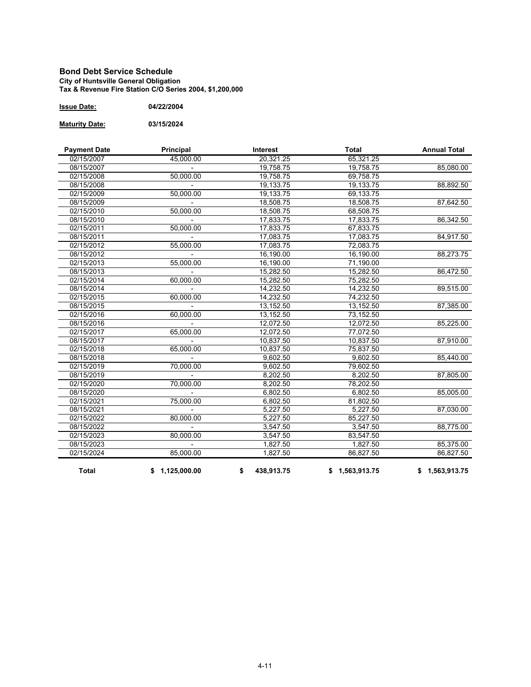#### **Bond Debt Service Schedule City of Huntsville General Obligation Tax & Revenue Fire Station C/O Series 2004, \$1,200,000**

| <b>Issue Date:</b> | 04/22/2004 |
|--------------------|------------|
|                    |            |

**Maturity Date: 03/15/2024**

| <b>Payment Date</b>      | Principal              | Interest         | <b>Total</b>   | <b>Annual Total</b> |
|--------------------------|------------------------|------------------|----------------|---------------------|
| 02/15/2007               | 45,000.00              | 20,321.25        | 65,321.25      |                     |
| 08/15/2007               |                        | 19,758.75        | 19,758.75      | 85,080.00           |
| 02/15/2008               | 50,000.00              | 19,758.75        | 69,758.75      |                     |
| 08/15/2008               |                        | 19,133.75        | 19,133.75      | 88,892.50           |
| 02/15/2009               | 50,000.00              | 19,133.75        | 69,133.75      |                     |
| 08/15/2009               |                        | 18,508.75        | 18,508.75      | 87,642.50           |
| 02/15/2010               | $\overline{50,000.}00$ | 18,508.75        | 68,508.75      |                     |
| 08/15/2010               |                        | 17,833.75        | 17,833.75      | 86,342.50           |
| 02/15/2011               | 50,000.00              | 17,833.75        | 67,833.75      |                     |
| 08/15/2011               |                        | 17,083.75        | 17,083.75      | 84,917.50           |
| 02/15/2012               | 55,000.00              | 17.083.75        | 72.083.75      |                     |
| 08/15/2012               |                        | 16,190.00        | 16,190.00      | 88,273.75           |
| 02/15/2013               | 55,000.00              | 16,190.00        | 71,190.00      |                     |
| 08/15/2013               |                        | 15,282.50        | 15,282.50      | 86,472.50           |
| $\overline{02}$ /15/2014 | 60,000.00              | 15,282.50        | 75,282.50      |                     |
| 08/15/2014               |                        | 14,232.50        | 14,232.50      | 89,515.00           |
| 02/15/2015               | 60,000.00              | 14,232.50        | 74,232.50      |                     |
| 08/15/2015               |                        | 13,152.50        | 13,152.50      | 87,385.00           |
| 02/15/2016               | 60,000.00              | 13,152.50        | 73,152.50      |                     |
| 08/15/2016               |                        | 12,072.50        | 12,072.50      | 85,225.00           |
| 02/15/2017               | 65.000.00              | 12,072.50        | 77,072.50      |                     |
| 08/15/2017               |                        | 10.837.50        | 10.837.50      | 87,910.00           |
| 02/15/2018               | 65,000.00              | 10,837.50        | 75,837.50      |                     |
| 08/15/2018               |                        | 9,602.50         | 9,602.50       | 85,440.00           |
| 02/15/2019               | 70,000.00              | 9,602.50         | 79,602.50      |                     |
| 08/15/2019               |                        | 8,202.50         | 8,202.50       | 87,805.00           |
| 02/15/2020               | 70.000.00              | 8,202.50         | 78,202.50      |                     |
| 08/15/2020               |                        | 6,802.50         | 6,802.50       | 85,005.00           |
| 02/15/2021               | 75,000.00              | 6,802.50         | 81,802.50      |                     |
| 08/15/2021               |                        | 5,227.50         | 5,227.50       | 87,030.00           |
| 02/15/2022               | 80,000.00              | 5,227.50         | 85,227.50      |                     |
| 08/15/2022               |                        | 3,547.50         | 3,547.50       | 88,775.00           |
| 02/15/2023               | 80,000.00              | 3,547.50         | 83,547.50      |                     |
| 08/15/2023               |                        | 1,827.50         | 1,827.50       | 85,375.00           |
| 02/15/2024               | 85,000.00              | 1,827.50         | 86,827.50      | 86.827.50           |
| <b>Total</b>             | \$1,125,000.00         | 438,913.75<br>\$ | \$1,563,913.75 | \$1,563,913.75      |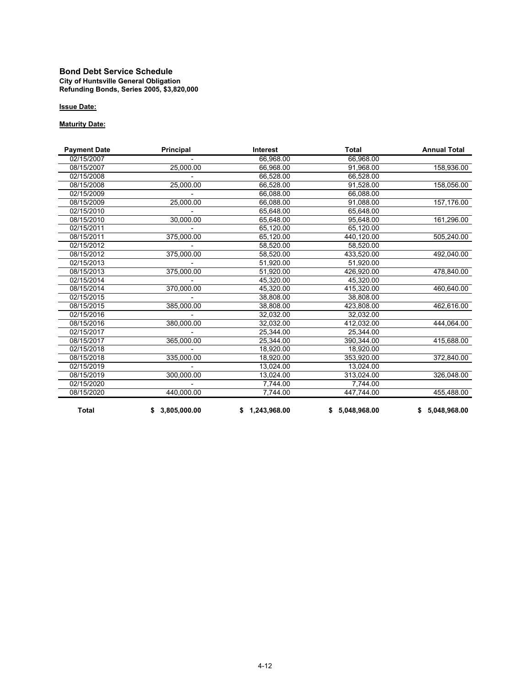#### **Bond Debt Service Schedule City of Huntsville General Obligation Refunding Bonds, Series 2005, \$3,820,000**

#### **Issue Date:**

#### **Maturity Date:**

| <b>Payment Date</b> | Principal      | Interest       | Total          | <b>Annual Total</b> |
|---------------------|----------------|----------------|----------------|---------------------|
| 02/15/2007          |                | 66,968.00      | 66,968.00      |                     |
| 08/15/2007          | 25,000.00      | 66,968.00      | 91,968.00      | 158,936.00          |
| 02/15/2008          |                | 66,528.00      | 66,528.00      |                     |
| 08/15/2008          | 25,000.00      | 66,528.00      | 91,528.00      | 158,056.00          |
| 02/15/2009          |                | 66,088.00      | 66,088.00      |                     |
| 08/15/2009          | 25,000.00      | 66,088.00      | 91,088.00      | 157,176.00          |
| 02/15/2010          |                | 65,648.00      | 65,648.00      |                     |
| 08/15/2010          | 30,000.00      | 65,648.00      | 95,648.00      | 161,296.00          |
| 02/15/2011          |                | 65,120.00      | 65,120.00      |                     |
| 08/15/2011          | 375,000.00     | 65,120.00      | 440,120.00     | 505,240.00          |
| 02/15/2012          |                | 58,520.00      | 58,520.00      |                     |
| 08/15/2012          | 375,000.00     | 58,520.00      | 433,520.00     | 492,040.00          |
| 02/15/2013          |                | 51,920.00      | 51,920.00      |                     |
| 08/15/2013          | 375,000.00     | 51,920.00      | 426,920.00     | 478,840.00          |
| 02/15/2014          |                | 45,320.00      | 45,320.00      |                     |
| 08/15/2014          | 370,000.00     | 45,320.00      | 415,320.00     | 460,640.00          |
| 02/15/2015          |                | 38,808.00      | 38,808.00      |                     |
| 08/15/2015          | 385,000.00     | 38,808.00      | 423,808.00     | 462,616.00          |
| 02/15/2016          |                | 32,032.00      | 32,032.00      |                     |
| 08/15/2016          | 380,000.00     | 32,032.00      | 412,032.00     | 444,064.00          |
| 02/15/2017          |                | 25,344.00      | 25,344.00      |                     |
| 08/15/2017          | 365,000.00     | 25,344.00      | 390,344.00     | 415,688.00          |
| 02/15/2018          |                | 18,920.00      | 18,920.00      |                     |
| 08/15/2018          | 335,000.00     | 18,920.00      | 353.920.00     | 372,840.00          |
| 02/15/2019          |                | 13,024.00      | 13,024.00      |                     |
| 08/15/2019          | 300,000.00     | 13,024.00      | 313,024.00     | 326,048.00          |
| 02/15/2020          |                | 7,744.00       | 7,744.00       |                     |
| 08/15/2020          | 440,000.00     | 7,744.00       | 447,744.00     | 455,488.00          |
| <b>Total</b>        | \$3,805,000.00 | \$1,243,968.00 | \$5,048,968.00 | \$5,048,968.00      |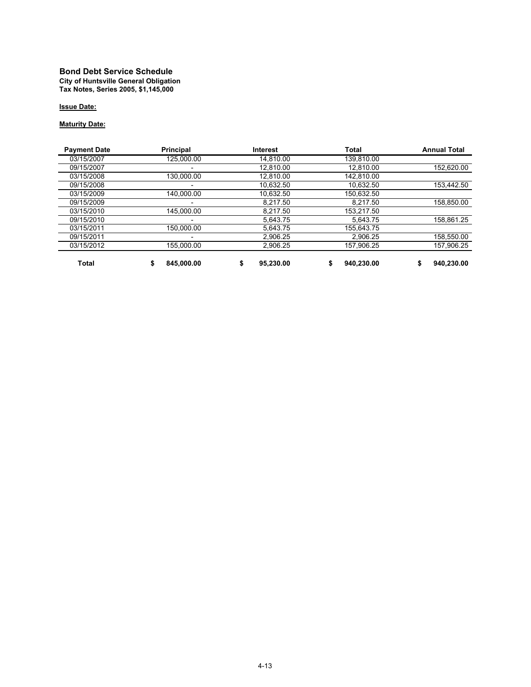#### **Bond Debt Service Schedule City of Huntsville General Obligation Tax Notes, Series 2005, \$1,145,000**

#### **Issue Date:**

#### **Maturity Date:**

| <b>Payment Date</b> | <b>Principal</b> | <b>Interest</b> | <b>Total</b> | <b>Annual Total</b> |
|---------------------|------------------|-----------------|--------------|---------------------|
| 03/15/2007          | 125.000.00       | 14.810.00       | 139,810.00   |                     |
| 09/15/2007          | -                | 12.810.00       | 12.810.00    | 152.620.00          |
| 03/15/2008          | 130.000.00       | 12.810.00       | 142.810.00   |                     |
| 09/15/2008          | -                | 10.632.50       | 10.632.50    | 153.442.50          |
| 03/15/2009          | 140.000.00       | 10.632.50       | 150.632.50   |                     |
| 09/15/2009          | -                | 8.217.50        | 8.217.50     | 158.850.00          |
| 03/15/2010          | 145.000.00       | 8.217.50        | 153.217.50   |                     |
| 09/15/2010          |                  | 5.643.75        | 5.643.75     | 158,861.25          |
| 03/15/2011          | 150.000.00       | 5.643.75        | 155.643.75   |                     |
| 09/15/2011          |                  | 2.906.25        | 2.906.25     | 158.550.00          |
| 03/15/2012          | 155.000.00       | 2.906.25        | 157.906.25   | 157.906.25          |
| <b>Total</b>        | 845.000.00       | 95.230.00       | 940.230.00   | 940.230.00          |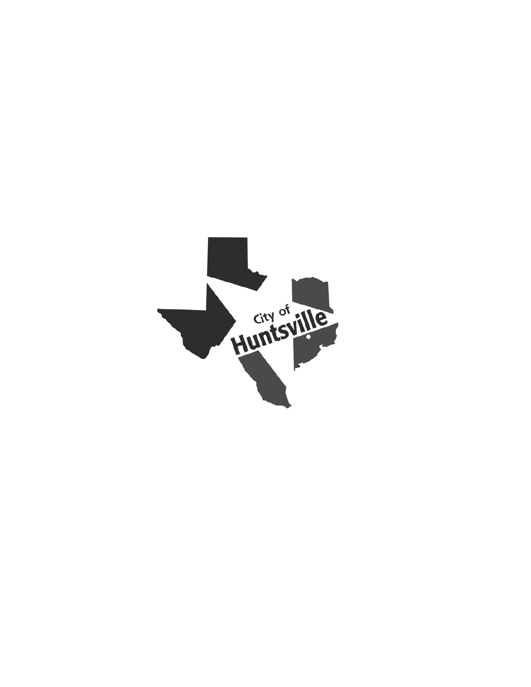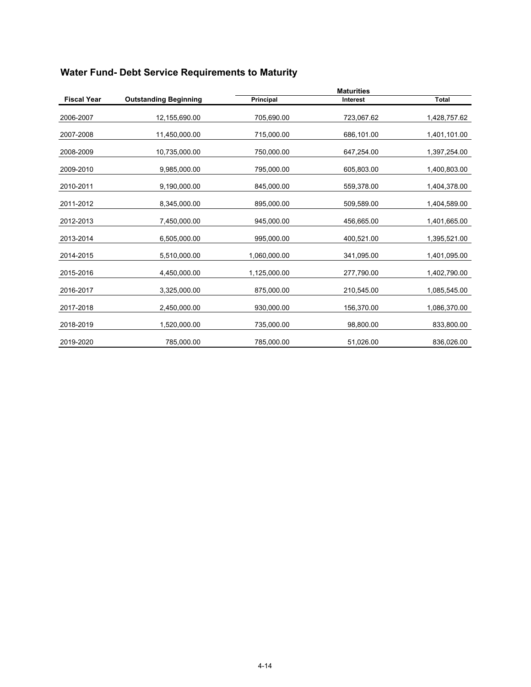|                    |                              | <b>Maturities</b> |                 |              |
|--------------------|------------------------------|-------------------|-----------------|--------------|
| <b>Fiscal Year</b> | <b>Outstanding Beginning</b> | Principal         | <b>Interest</b> | <b>Total</b> |
| 2006-2007          | 12,155,690.00                | 705,690.00        | 723,067.62      | 1,428,757.62 |
| 2007-2008          | 11,450,000.00                | 715,000.00        | 686,101.00      | 1,401,101.00 |
| 2008-2009          | 10,735,000.00                | 750,000.00        | 647,254.00      | 1,397,254.00 |
| 2009-2010          | 9,985,000.00                 | 795,000.00        | 605,803.00      | 1,400,803.00 |
| 2010-2011          | 9,190,000.00                 | 845,000.00        | 559,378.00      | 1,404,378.00 |
| 2011-2012          | 8,345,000.00                 | 895,000.00        | 509,589.00      | 1,404,589.00 |
| 2012-2013          | 7,450,000.00                 | 945,000.00        | 456,665.00      | 1,401,665.00 |
| 2013-2014          | 6,505,000.00                 | 995,000.00        | 400,521.00      | 1,395,521.00 |
| 2014-2015          | 5,510,000.00                 | 1,060,000.00      | 341,095.00      | 1,401,095.00 |
| 2015-2016          | 4,450,000.00                 | 1,125,000.00      | 277,790.00      | 1,402,790.00 |
| 2016-2017          | 3,325,000.00                 | 875,000.00        | 210,545.00      | 1,085,545.00 |
| 2017-2018          | 2,450,000.00                 | 930,000.00        | 156,370.00      | 1,086,370.00 |
| 2018-2019          | 1,520,000.00                 | 735,000.00        | 98,800.00       | 833,800.00   |
| 2019-2020          | 785,000.00                   | 785,000.00        | 51,026.00       | 836,026.00   |

# **Water Fund- Debt Service Requirements to Maturity**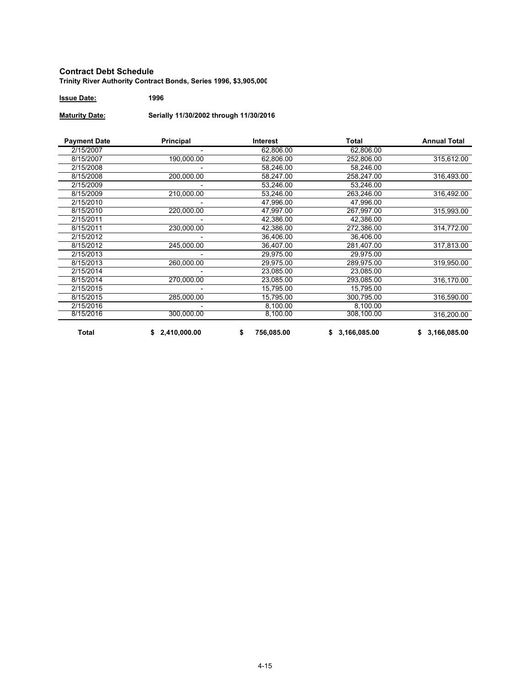#### **Contract Debt Schedule Trinity River Authority Contract Bonds, Series 1996, \$3,905,000**

**Issue Date: 1996**

**Maturity Date: Serially 11/30/2002 through 11/30/2016**

| <b>Payment Date</b> | Principal    | Interest         | <b>Total</b>       | <b>Annual Total</b> |
|---------------------|--------------|------------------|--------------------|---------------------|
| 2/15/2007           |              | 62,806.00        | 62,806.00          |                     |
| 8/15/2007           | 190,000.00   | 62,806.00        | 252,806.00         | 315,612.00          |
| 2/15/2008           |              | 58,246.00        | 58,246.00          |                     |
| 8/15/2008           | 200,000.00   | 58,247.00        | 258,247.00         | 316,493.00          |
| 2/15/2009           |              | 53,246.00        | 53,246.00          |                     |
| 8/15/2009           | 210,000.00   | 53.246.00        | 263.246.00         | 316,492.00          |
| 2/15/2010           |              | 47,996.00        | 47,996.00          |                     |
| 8/15/2010           | 220,000.00   | 47,997.00        | 267,997.00         | 315,993.00          |
| 2/15/2011           |              | 42,386.00        | 42,386.00          |                     |
| 8/15/2011           | 230,000.00   | 42,386.00        | 272,386.00         | 314,772.00          |
| 2/15/2012           |              | 36.406.00        | 36.406.00          |                     |
| 8/15/2012           | 245,000.00   | 36,407.00        | 281,407.00         | 317,813.00          |
| 2/15/2013           |              | 29,975.00        | 29,975.00          |                     |
| 8/15/2013           | 260,000.00   | 29,975.00        | 289,975.00         | 319,950.00          |
| 2/15/2014           |              | 23,085.00        | 23,085.00          |                     |
| 8/15/2014           | 270,000.00   | 23,085.00        | 293,085.00         | 316,170.00          |
| 2/15/2015           |              | 15,795.00        | 15,795.00          |                     |
| 8/15/2015           | 285,000.00   | 15,795.00        | 300,795.00         | 316,590.00          |
| 2/15/2016           |              | 8,100.00         | 8,100.00           |                     |
| 8/15/2016           | 300,000.00   | 8,100.00         | 308,100.00         | 316,200.00          |
| <b>Total</b>        | 2,410,000.00 | 756,085.00<br>\$ | 3,166,085.00<br>\$ | 3,166,085.00<br>\$  |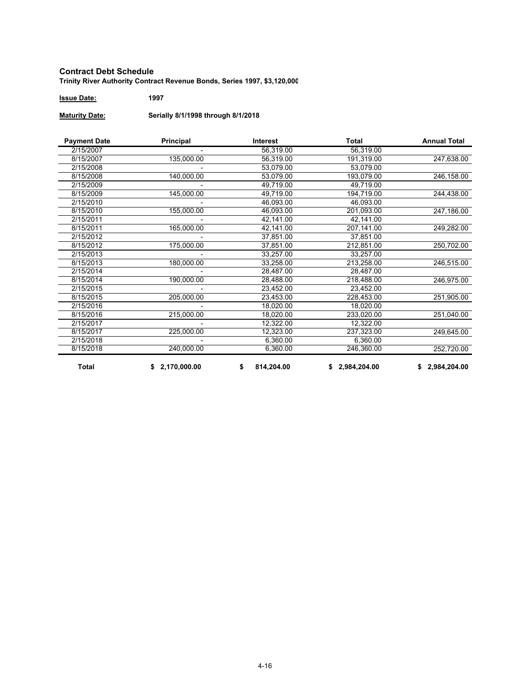#### **Contract Debt Schedule Trinity River Authority Contract Revenue Bonds, Series 1997, \$3,120,000**

**Issue Date: 1997**

**Maturity Date: Serially 8/1/1998 through 8/1/2018**

| <b>Payment Date</b> | Principal      | <b>Interest</b>  | Total          | <b>Annual Total</b> |
|---------------------|----------------|------------------|----------------|---------------------|
| 2/15/2007           |                | 56,319.00        | 56,319.00      |                     |
| 8/15/2007           | 135,000.00     | 56,319.00        | 191,319.00     | 247,638.00          |
| 2/15/2008           |                | 53,079.00        | 53,079.00      |                     |
| 8/15/2008           | 140,000.00     | 53.079.00        | 193,079.00     | 246,158.00          |
| 2/15/2009           |                | 49,719.00        | 49,719.00      |                     |
| 8/15/2009           | 145,000.00     | 49,719.00        | 194,719.00     | 244,438.00          |
| 2/15/2010           |                | 46,093.00        | 46,093.00      |                     |
| 8/15/2010           | 155,000.00     | 46,093.00        | 201,093.00     | 247,186.00          |
| 2/15/2011           |                | 42,141.00        | 42,141.00      |                     |
| 8/15/2011           | 165,000.00     | 42,141.00        | 207,141.00     | 249,282.00          |
| 2/15/2012           |                | 37,851.00        | 37,851.00      |                     |
| 8/15/2012           | 175,000.00     | 37,851.00        | 212,851.00     | 250,702.00          |
| 2/15/2013           |                | 33,257.00        | 33,257.00      |                     |
| 8/15/2013           | 180,000.00     | 33,258.00        | 213,258.00     | 246,515.00          |
| 2/15/2014           |                | 28.487.00        | 28.487.00      |                     |
| 8/15/2014           | 190,000.00     | 28,488.00        | 218,488.00     | 246,975.00          |
| 2/15/2015           |                | 23,452.00        | 23,452.00      |                     |
| 8/15/2015           | 205,000.00     | 23,453.00        | 228,453.00     | 251,905.00          |
| 2/15/2016           |                | 18,020.00        | 18,020.00      |                     |
| 8/15/2016           | 215,000.00     | 18,020.00        | 233,020.00     | 251,040.00          |
| 2/15/2017           |                | 12,322.00        | 12,322.00      |                     |
| 8/15/2017           | 225,000.00     | 12,323.00        | 237,323.00     | 249,645.00          |
| 2/15/2018           |                | 6,360.00         | 6,360.00       |                     |
| 8/15/2018           | 240,000.00     | 6,360.00         | 246,360.00     | 252,720.00          |
| Total               | \$2,170,000.00 | 814,204.00<br>\$ | \$2,984,204.00 | \$2,984,204.00      |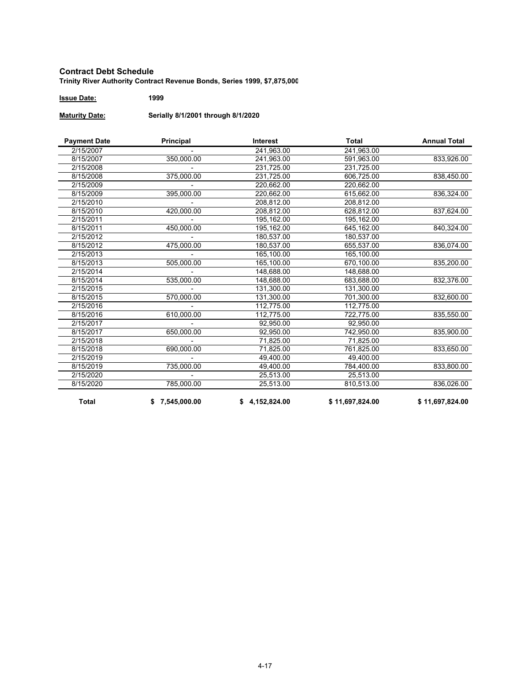#### **Contract Debt Schedule Trinity River Authority Contract Revenue Bonds, Series 1999, \$7,875,000**

**Issue Date: 1999**

**Maturity Date: Serially 8/1/2001 through 8/1/2020**

| <b>Payment Date</b> | Principal      | <b>Interest</b> | Total           | <b>Annual Total</b> |
|---------------------|----------------|-----------------|-----------------|---------------------|
| 2/15/2007           |                | 241,963.00      | 241,963.00      |                     |
| 8/15/2007           | 350,000.00     | 241,963.00      | 591,963.00      | 833,926.00          |
| 2/15/2008           |                | 231,725.00      | 231,725.00      |                     |
| 8/15/2008           | 375,000.00     | 231,725.00      | 606,725.00      | 838,450.00          |
| 2/15/2009           |                | 220,662.00      | 220,662.00      |                     |
| 8/15/2009           | 395,000.00     | 220,662.00      | 615,662.00      | 836,324.00          |
| 2/15/2010           |                | 208,812.00      | 208,812.00      |                     |
| 8/15/2010           | 420,000.00     | 208,812.00      | 628,812.00      | 837,624.00          |
| 2/15/2011           |                | 195,162.00      | 195,162.00      |                     |
| 8/15/2011           | 450,000.00     | 195,162.00      | 645,162.00      | 840,324.00          |
| 2/15/2012           |                | 180.537.00      | 180,537.00      |                     |
| 8/15/2012           | 475,000.00     | 180,537.00      | 655,537.00      | 836,074.00          |
| 2/15/2013           |                | 165,100.00      | 165,100.00      |                     |
| 8/15/2013           | 505,000.00     | 165.100.00      | 670.100.00      | 835,200.00          |
| 2/15/2014           |                | 148,688.00      | 148,688.00      |                     |
| 8/15/2014           | 535,000.00     | 148,688.00      | 683,688.00      | 832,376.00          |
| 2/15/2015           |                | 131,300.00      | 131,300.00      |                     |
| 8/15/2015           | 570,000.00     | 131,300.00      | 701,300.00      | 832,600.00          |
| 2/15/2016           |                | 112,775.00      | 112,775.00      |                     |
| 8/15/2016           | 610,000.00     | 112,775.00      | 722,775.00      | 835,550.00          |
| 2/15/2017           |                | 92,950.00       | 92.950.00       |                     |
| 8/15/2017           | 650,000.00     | 92.950.00       | 742.950.00      | 835,900.00          |
| 2/15/2018           |                | 71,825.00       | 71,825.00       |                     |
| 8/15/2018           | 690,000.00     | 71,825.00       | 761,825.00      | 833,650.00          |
| 2/15/2019           |                | 49.400.00       | 49,400.00       |                     |
| 8/15/2019           | 735,000.00     | 49,400.00       | 784,400.00      | 833,800.00          |
| 2/15/2020           |                | 25,513.00       | 25,513.00       |                     |
| 8/15/2020           | 785,000.00     | 25,513.00       | 810,513.00      | 836,026.00          |
| <b>Total</b>        | \$7,545,000.00 | \$4,152,824.00  | \$11,697,824.00 | \$11,697,824.00     |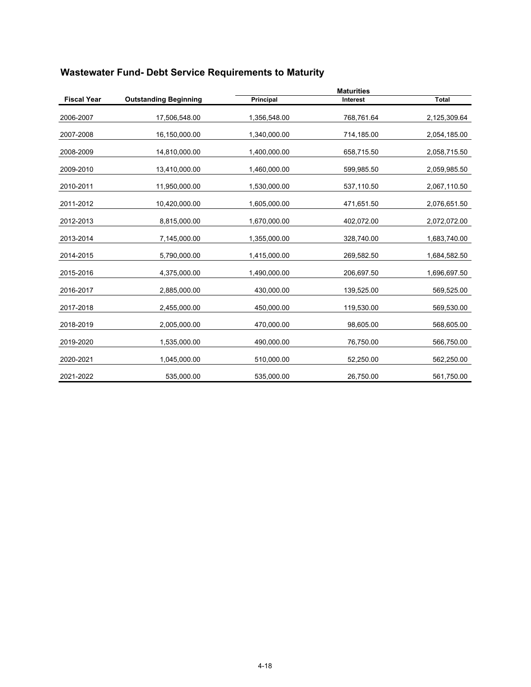|                    |                              |              | <b>Maturities</b> |              |
|--------------------|------------------------------|--------------|-------------------|--------------|
| <b>Fiscal Year</b> | <b>Outstanding Beginning</b> | Principal    | Interest          | <b>Total</b> |
| 2006-2007          | 17,506,548.00                | 1,356,548.00 | 768,761.64        | 2,125,309.64 |
| 2007-2008          | 16,150,000.00                | 1,340,000.00 | 714,185.00        | 2,054,185.00 |
| 2008-2009          | 14,810,000.00                | 1,400,000.00 | 658,715.50        | 2,058,715.50 |
| 2009-2010          | 13,410,000.00                | 1,460,000.00 | 599,985.50        | 2,059,985.50 |
| 2010-2011          | 11,950,000.00                | 1,530,000.00 | 537,110.50        | 2,067,110.50 |
| 2011-2012          | 10,420,000.00                | 1,605,000.00 | 471,651.50        | 2,076,651.50 |
| 2012-2013          | 8,815,000.00                 | 1,670,000.00 | 402,072.00        | 2,072,072.00 |
| 2013-2014          | 7,145,000.00                 | 1,355,000.00 | 328,740.00        | 1,683,740.00 |
| 2014-2015          | 5,790,000.00                 | 1,415,000.00 | 269,582.50        | 1,684,582.50 |
| 2015-2016          | 4,375,000.00                 | 1,490,000.00 | 206,697.50        | 1,696,697.50 |
| 2016-2017          | 2,885,000.00                 | 430,000.00   | 139,525.00        | 569,525.00   |
| 2017-2018          | 2,455,000.00                 | 450,000.00   | 119,530.00        | 569,530.00   |
| 2018-2019          | 2,005,000.00                 | 470,000.00   | 98,605.00         | 568,605.00   |
| 2019-2020          | 1,535,000.00                 | 490,000.00   | 76,750.00         | 566,750.00   |
| 2020-2021          | 1,045,000.00                 | 510,000.00   | 52,250.00         | 562,250.00   |
| 2021-2022          | 535,000.00                   | 535,000.00   | 26,750.00         | 561,750.00   |

# **Wastewater Fund- Debt Service Requirements to Maturity**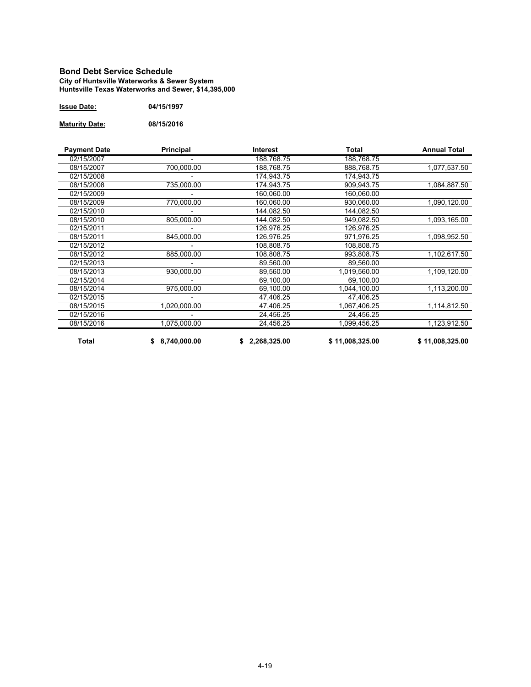#### **Bond Debt Service Schedule City of Huntsville Waterworks & Sewer System Huntsville Texas Waterworks and Sewer, \$14,395,000**

| <b>Issue Date:</b> | 04/15/1997 |
|--------------------|------------|
|--------------------|------------|

**Maturity Date: 08/15/2016**

| <b>Payment Date</b> | Principal      | Interest     | Total           | <b>Annual Total</b> |
|---------------------|----------------|--------------|-----------------|---------------------|
| 02/15/2007          |                | 188,768.75   | 188,768.75      |                     |
| 08/15/2007          | 700,000.00     | 188,768.75   | 888,768.75      | 1,077,537.50        |
| 02/15/2008          |                | 174,943.75   | 174,943.75      |                     |
| 08/15/2008          | 735,000.00     | 174,943.75   | 909,943.75      | 1,084,887.50        |
| 02/15/2009          |                | 160,060.00   | 160,060.00      |                     |
| 08/15/2009          | 770,000.00     | 160,060.00   | 930,060.00      | 1,090,120.00        |
| 02/15/2010          |                | 144,082.50   | 144,082.50      |                     |
| 08/15/2010          | 805,000.00     | 144.082.50   | 949.082.50      | 1,093,165.00        |
| 02/15/2011          |                | 126,976.25   | 126,976.25      |                     |
| 08/15/2011          | 845,000.00     | 126,976.25   | 971,976.25      | 1,098,952.50        |
| 02/15/2012          |                | 108,808.75   | 108,808.75      |                     |
| 08/15/2012          | 885,000.00     | 108,808.75   | 993,808.75      | 1,102,617.50        |
| 02/15/2013          |                | 89,560.00    | 89,560.00       |                     |
| 08/15/2013          | 930,000.00     | 89,560.00    | 1,019,560.00    | 1,109,120.00        |
| 02/15/2014          |                | 69,100.00    | 69,100.00       |                     |
| 08/15/2014          | 975,000.00     | 69,100.00    | 1,044,100.00    | 1,113,200.00        |
| 02/15/2015          |                | 47,406.25    | 47,406.25       |                     |
| 08/15/2015          | 1,020,000.00   | 47,406.25    | 1,067,406.25    | 1,114,812.50        |
| 02/15/2016          |                | 24,456.25    | 24,456.25       |                     |
| 08/15/2016          | 1,075,000.00   | 24,456.25    | 1,099,456.25    | 1,123,912.50        |
| <b>Total</b>        | \$8,740,000.00 | 2,268,325.00 | \$11,008,325.00 | \$11,008,325.00     |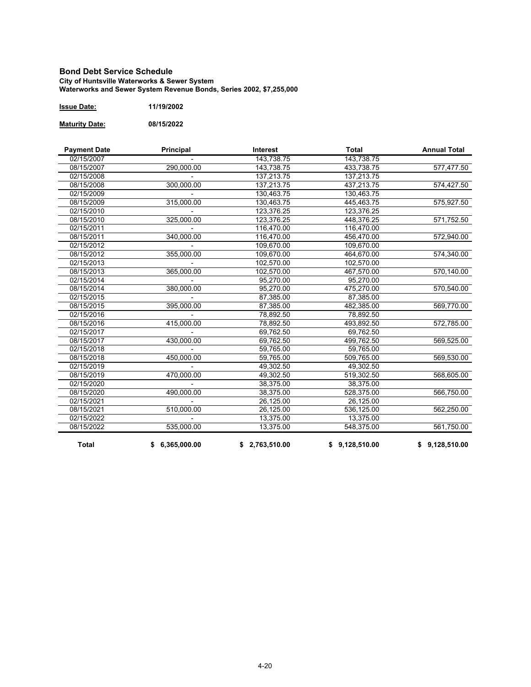#### **Bond Debt Service Schedule City of Huntsville Waterworks & Sewer System Waterworks and Sewer System Revenue Bonds, Series 2002, \$7,255,000**

| 11/19/2002<br>Issue Date: |
|---------------------------|
|---------------------------|

**Maturity Date: 08/15/2022**

| <b>Payment Date</b>      | Principal      | <b>Interest</b> | <b>Total</b>   | <b>Annual Total</b> |
|--------------------------|----------------|-----------------|----------------|---------------------|
| 02/15/2007               |                | 143.738.75      | 143,738.75     |                     |
| 08/15/2007               | 290,000.00     | 143,738.75      | 433,738.75     | 577,477.50          |
| 02/15/2008               |                | 137,213.75      | 137,213.75     |                     |
| 08/15/2008               | 300,000.00     | 137,213.75      | 437,213.75     | 574,427.50          |
| 02/15/2009               |                | 130,463.75      | 130,463.75     |                     |
| 08/15/2009               | 315,000.00     | 130,463.75      | 445,463.75     | 575,927.50          |
| 02/15/2010               |                | 123,376.25      | 123,376.25     |                     |
| 08/15/2010               | 325,000.00     | 123.376.25      | 448,376.25     | 571,752.50          |
| 02/15/2011               |                | 116,470.00      | 116,470.00     |                     |
| 08/15/2011               | 340,000.00     | 116,470.00      | 456,470.00     | 572,940.00          |
| 02/15/2012               |                | 109,670.00      | 109,670.00     |                     |
| 08/15/2012               | 355,000.00     | 109,670.00      | 464,670.00     | 574,340.00          |
| 02/15/2013               |                | 102,570.00      | 102,570.00     |                     |
| 08/15/2013               | 365,000.00     | 102,570.00      | 467,570.00     | 570,140.00          |
| 02/15/2014               |                | 95,270.00       | 95,270.00      |                     |
| 08/15/2014               | 380,000.00     | 95,270.00       | 475,270.00     | 570,540.00          |
| 02/15/2015               |                | 87.385.00       | 87,385.00      |                     |
| 08/15/2015               | 395,000.00     | 87,385.00       | 482,385.00     | 569,770.00          |
| 02/15/2016               |                | 78,892.50       | 78,892.50      |                     |
| 08/15/2016               | 415,000.00     | 78,892.50       | 493,892.50     | 572,785.00          |
| 02/15/2017               |                | 69,762.50       | 69,762.50      |                     |
| 08/15/2017               | 430,000.00     | 69,762.50       | 499,762.50     | 569,525.00          |
| 02/15/2018               |                | 59,765.00       | 59,765.00      |                     |
| 08/15/2018               | 450,000.00     | 59,765.00       | 509,765.00     | 569,530.00          |
| 02/15/2019               |                | 49,302.50       | 49,302.50      |                     |
| 08/15/2019               | 470,000.00     | 49,302.50       | 519,302.50     | 568,605.00          |
| 02/15/2020               |                | 38,375.00       | 38,375.00      |                     |
| 08/15/2020               | 490,000.00     | 38,375.00       | 528,375.00     | 566,750.00          |
| $\overline{02}$ /15/2021 |                | 26,125.00       | 26,125.00      |                     |
| 08/15/2021               | 510,000.00     | 26,125.00       | 536,125.00     | 562,250.00          |
| 02/15/2022               |                | 13,375.00       | 13,375.00      |                     |
| 08/15/2022               | 535,000.00     | 13,375.00       | 548,375.00     | 561,750.00          |
| <b>Total</b>             | \$6,365,000.00 | \$2,763,510.00  | \$9,128,510.00 | \$9,128,510.00      |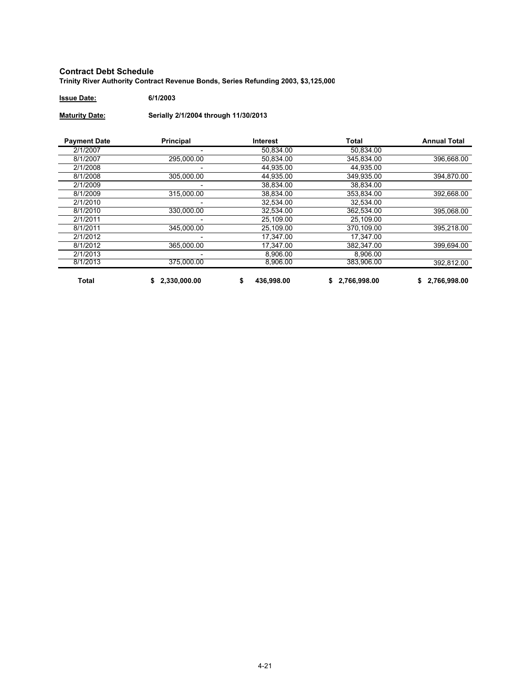#### **Contract Debt Schedule Trinity River Authority Contract Revenue Bonds, Series Refunding 2003, \$3,125,000**

**Issue Date: 6/1/2003**

**Maturity Date: Serially 2/1/2004 through 11/30/2013**

| <b>Payment Date</b> | <b>Principal</b> | <b>Interest</b> | Total        | <b>Annual Total</b> |
|---------------------|------------------|-----------------|--------------|---------------------|
| 2/1/2007            |                  | 50.834.00       | 50.834.00    |                     |
| 8/1/2007            | 295.000.00       | 50.834.00       | 345.834.00   | 396.668.00          |
| 2/1/2008            |                  | 44.935.00       | 44.935.00    |                     |
| 8/1/2008            | 305,000.00       | 44.935.00       | 349.935.00   | 394,870.00          |
| 2/1/2009            |                  | 38,834.00       | 38,834.00    |                     |
| 8/1/2009            | 315.000.00       | 38,834.00       | 353.834.00   | 392,668.00          |
| 2/1/2010            |                  | 32.534.00       | 32.534.00    |                     |
| 8/1/2010            | 330.000.00       | 32.534.00       | 362.534.00   | 395.068.00          |
| 2/1/2011            | -                | 25.109.00       | 25.109.00    |                     |
| 8/1/2011            | 345.000.00       | 25,109.00       | 370.109.00   | 395,218.00          |
| 2/1/2012            |                  | 17.347.00       | 17.347.00    |                     |
| 8/1/2012            | 365,000.00       | 17,347.00       | 382,347.00   | 399.694.00          |
| 2/1/2013            |                  | 8,906.00        | 8.906.00     |                     |
| 8/1/2013            | 375.000.00       | 8,906.00        | 383.906.00   | 392,812.00          |
| <b>Total</b>        | 2,330,000.00     | 436,998.00      | 2,766,998.00 | 2,766,998.00        |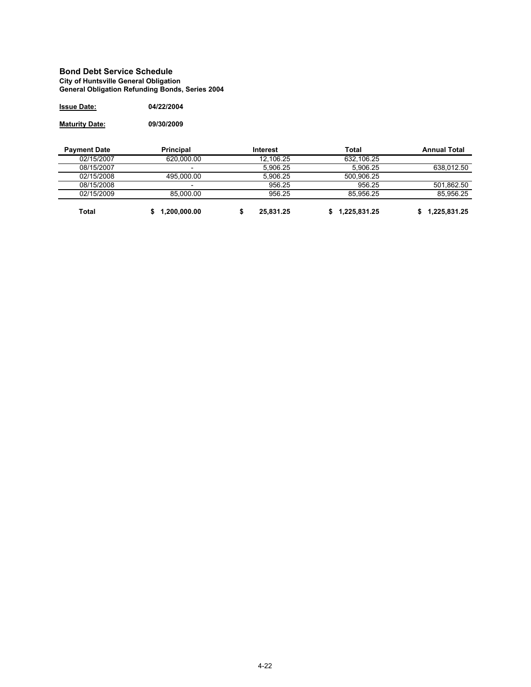#### **Bond Debt Service Schedule City of Huntsville General Obligation General Obligation Refunding Bonds, Series 2004**

| <b>Issue Date:</b> | 04/22/2004 |
|--------------------|------------|
|                    |            |

**Maturity Date: 09/30/2009**

| <b>Payment Date</b> | <b>Principal</b>         | Interest  | Total        | <b>Annual Total</b> |
|---------------------|--------------------------|-----------|--------------|---------------------|
| 02/15/2007          | 620.000.00               | 12.106.25 | 632.106.25   |                     |
| 08/15/2007          | -                        | 5.906.25  | 5.906.25     | 638.012.50          |
| 02/15/2008          | 495.000.00               | 5.906.25  | 500.906.25   |                     |
| 08/15/2008          | $\overline{\phantom{0}}$ | 956.25    | 956.25       | 501,862.50          |
| 02/15/2009          | 85.000.00                | 956.25    | 85.956.25    | 85.956.25           |
| <b>Total</b>        | 1,200,000.00             | 25.831.25 | 1,225,831.25 | 1,225,831.25        |